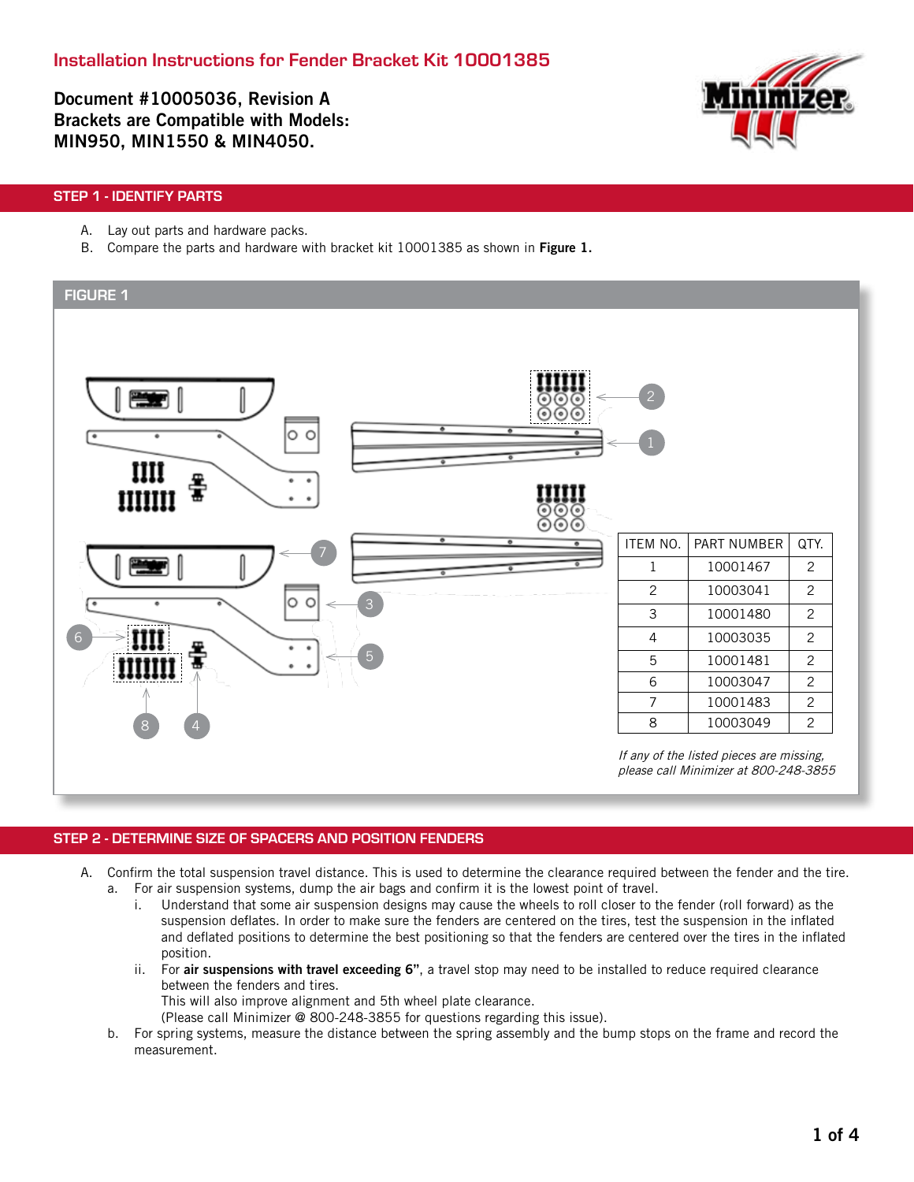Document #10005036, Revision A Brackets are Compatible with Models: MIN950, MIN1550 & MIN4050.



# STEP 1 - IDENTIFY PARTS

- A. Lay out parts and hardware packs.
- B. Compare the parts and hardware with bracket kit 10001385 as shown in Figure 1.



# STEP 2 - DETERMINE SIZE OF SPACERS AND POSITION FENDERS

- A. Confirm the total suspension travel distance. This is used to determine the clearance required between the fender and the tire. a. For air suspension systems, dump the air bags and confirm it is the lowest point of travel.
	- i. Understand that some air suspension designs may cause the wheels to roll closer to the fender (roll forward) as the suspension deflates. In order to make sure the fenders are centered on the tires, test the suspension in the inflated and deflated positions to determine the best positioning so that the fenders are centered over the tires in the inflated position.
	- ii. For air suspensions with travel exceeding 6", a travel stop may need to be installed to reduce required clearance between the fenders and tires.
		- This will also improve alignment and 5th wheel plate clearance.
		- (Please call Minimizer @ 800-248-3855 for questions regarding this issue).
	- b. For spring systems, measure the distance between the spring assembly and the bump stops on the frame and record the measurement.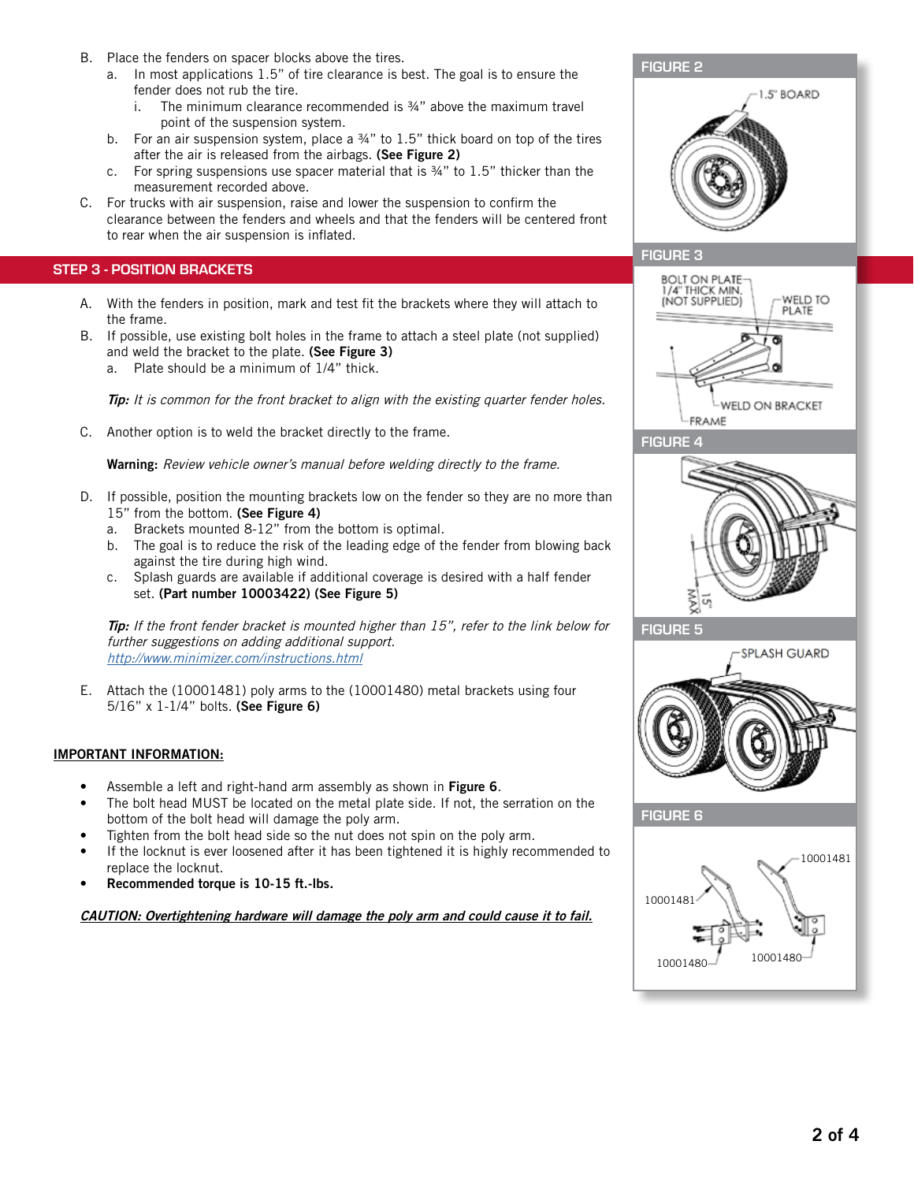- B. Place the fenders on spacer blocks above the tires.
	- a. In most applications 1.5" of tire clearance is best. The goal is to ensure the fender does not rub the tire.
		- i. The minimum clearance recommended is  $\frac{3}{4}$ " above the maximum travel point of the suspension system.
	- b. For an air suspension system, place a  $34"$  to  $1.5"$  thick board on top of the tires after the air is released from the airbags. (See Figure 2)
	- c. For spring suspensions use spacer material that is ¾" to 1.5" thicker than the measurement recorded above.
- C. For trucks with air suspension, raise and lower the suspension to confirm the clearance between the fenders and wheels and that the fenders will be centered front to rear when the air suspension is inflated.

## STEP 3 - POSITION BRACKETS

- A. With the fenders in position, mark and test fit the brackets where they will attach to the frame.
- B. If possible, use existing bolt holes in the frame to attach a steel plate (not supplied) and weld the bracket to the plate. (See Figure 3)
	- a. Plate should be a minimum of 1/4" thick.

Tip: It is common for the front bracket to align with the existing quarter fender holes.

C. Another option is to weld the bracket directly to the frame.

Warning: Review vehicle owner's manual before welding directly to the frame.

- D. If possible, position the mounting brackets low on the fender so they are no more than 15" from the bottom. (See Figure 4)
	- a. Brackets mounted 8-12" from the bottom is optimal.
	- b. The goal is to reduce the risk of the leading edge of the fender from blowing back against the tire during high wind.
	- c. Splash guards are available if additional coverage is desired with a half fender set. (Part number 10003422) (See Figure 5)

Tip: If the front fender bracket is mounted higher than 15", refer to the link below for further suggestions on adding additional support. http://www.minimizer.com/instructions.html

E. Attach the (10001481) poly arms to the (10001480) metal brackets using four 5/16" x 1-1/4" bolts. (See Figure 6)

### IMPORTANT INFORMATION:

- Assemble a left and right-hand arm assembly as shown in Figure 6.
- The bolt head MUST be located on the metal plate side. If not, the serration on the bottom of the bolt head will damage the poly arm.
- Tighten from the bolt head side so the nut does not spin on the poly arm.
- If the locknut is ever loosened after it has been tightened it is highly recommended to replace the locknut.
- Recommended torque is 10-15 ft.-lbs.

CAUTION: Overtightening hardware will damage the poly arm and could cause it to fail.



# FIGURE 3









FIGURE 6

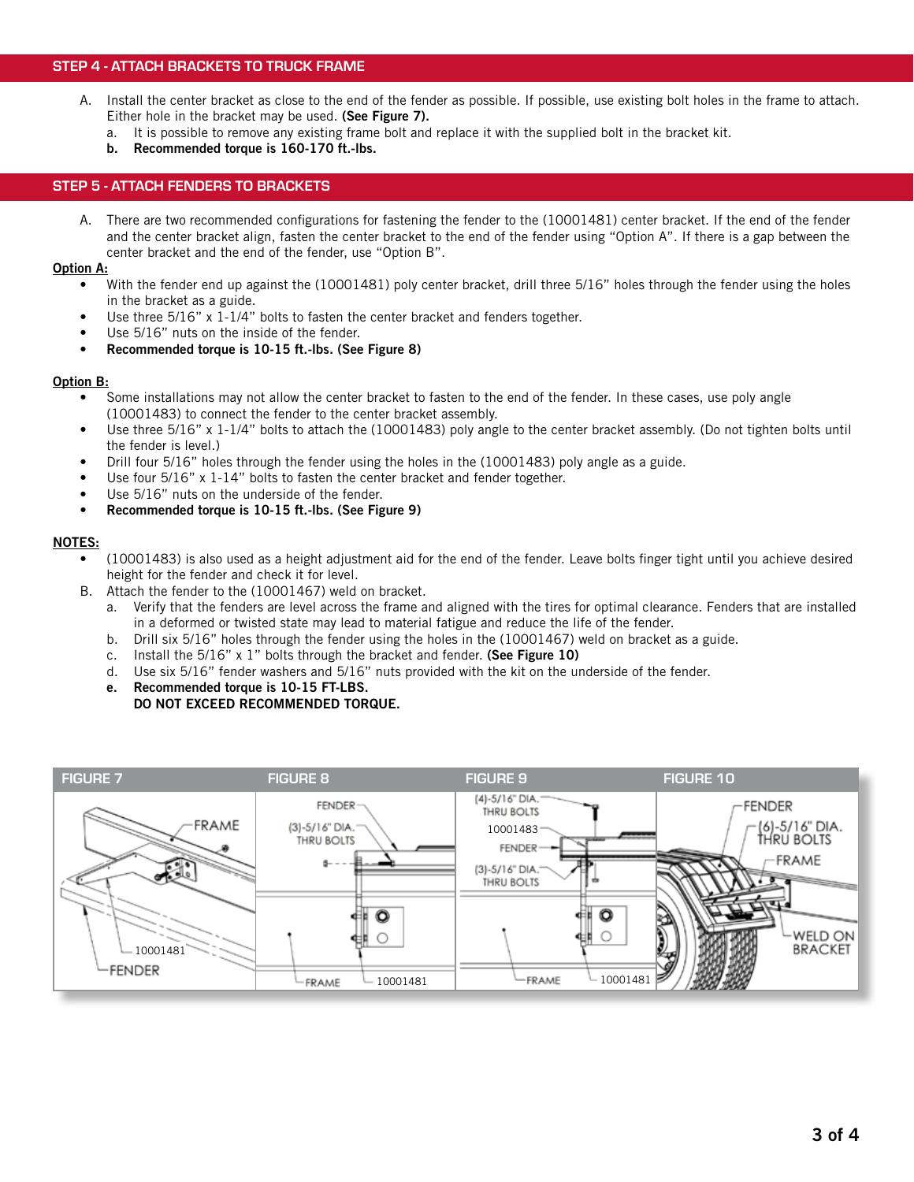### STEP 4 - ATTACH BRACKETS TO TRUCK FRAME

- A. Install the center bracket as close to the end of the fender as possible. If possible, use existing bolt holes in the frame to attach. Either hole in the bracket may be used. (See Figure 7).
	- a. It is possible to remove any existing frame bolt and replace it with the supplied bolt in the bracket kit.
	- b. Recommended torque is 160-170 ft.-lbs.

### STEP 5 - ATTACH FENDERS TO BRACKETS

A. There are two recommended configurations for fastening the fender to the (10001481) center bracket. If the end of the fender and the center bracket align, fasten the center bracket to the end of the fender using "Option A". If there is a gap between the center bracket and the end of the fender, use "Option B".

#### Option A:

- With the fender end up against the (10001481) poly center bracket, drill three 5/16" holes through the fender using the holes in the bracket as a guide.
- Use three  $5/16$ " x 1-1/4" bolts to fasten the center bracket and fenders together.
- Use 5/16" nuts on the inside of the fender.
- Recommended torque is 10-15 ft.-lbs. (See Figure 8)

#### Option B:

- Some installations may not allow the center bracket to fasten to the end of the fender. In these cases, use poly angle (10001483) to connect the fender to the center bracket assembly.
- Use three 5/16" x 1-1/4" bolts to attach the (10001483) poly angle to the center bracket assembly. (Do not tighten bolts until the fender is level.)
- Drill four 5/16" holes through the fender using the holes in the (10001483) poly angle as a guide.
- Use four 5/16" x 1-14" bolts to fasten the center bracket and fender together.
- Use 5/16" nuts on the underside of the fender.
- Recommended torque is 10-15 ft.-lbs. (See Figure 9)

### NOTES:

- (10001483) is also used as a height adjustment aid for the end of the fender. Leave bolts finger tight until you achieve desired height for the fender and check it for level.
- B. Attach the fender to the (10001467) weld on bracket.
	- a. Verify that the fenders are level across the frame and aligned with the tires for optimal clearance. Fenders that are installed in a deformed or twisted state may lead to material fatigue and reduce the life of the fender.
	- b. Drill six 5/16" holes through the fender using the holes in the (10001467) weld on bracket as a guide.
	- c. Install the 5/16" x 1" bolts through the bracket and fender. (See Figure 10)
	- d. Use six 5/16" fender washers and 5/16" nuts provided with the kit on the underside of the fender.
	- e. Recommended torque is 10-15 FT-LBS.
	- DO NOT EXCEED RECOMMENDED TORQUE.